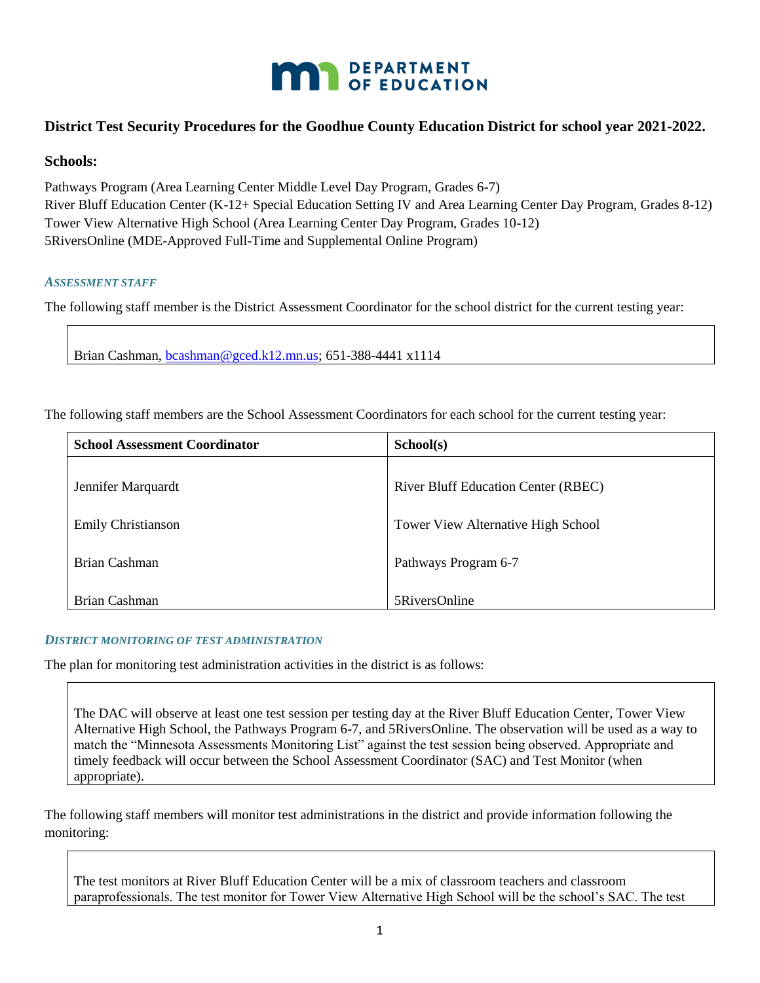

# **District Test Security Procedures for the Goodhue County Education District for school year 2021-2022.**

### **Schools:**

Pathways Program (Area Learning Center Middle Level Day Program, Grades 6-7) River Bluff Education Center (K-12+ Special Education Setting IV and Area Learning Center Day Program, Grades 8-12) Tower View Alternative High School (Area Learning Center Day Program, Grades 10-12) 5RiversOnline (MDE-Approved Full-Time and Supplemental Online Program)

#### *ASSESSMENT STAFF*

The following staff member is the District Assessment Coordinator for the school district for the current testing year:

Brian Cashman, [bcashman@gced.k12.mn.us;](mailto:bcashman@gced.k12.mn.us) 651-388-4441 x1114

The following staff members are the School Assessment Coordinators for each school for the current testing year:

| <b>School Assessment Coordinator</b> | School(s)                                  |
|--------------------------------------|--------------------------------------------|
| Jennifer Marquardt                   | <b>River Bluff Education Center (RBEC)</b> |
| <b>Emily Christianson</b>            | <b>Tower View Alternative High School</b>  |
| Brian Cashman                        | Pathways Program 6-7                       |
| Brian Cashman                        | 5RiversOnline                              |

#### *DISTRICT MONITORING OF TEST ADMINISTRATION*

The plan for monitoring test administration activities in the district is as follows:

The DAC will observe at least one test session per testing day at the River Bluff Education Center, Tower View Alternative High School, the Pathways Program 6-7, and 5RiversOnline. The observation will be used as a way to match the "Minnesota Assessments Monitoring List" against the test session being observed. Appropriate and timely feedback will occur between the School Assessment Coordinator (SAC) and Test Monitor (when appropriate).

The following staff members will monitor test administrations in the district and provide information following the monitoring:

The test monitors at River Bluff Education Center will be a mix of classroom teachers and classroom paraprofessionals. The test monitor for Tower View Alternative High School will be the school's SAC. The test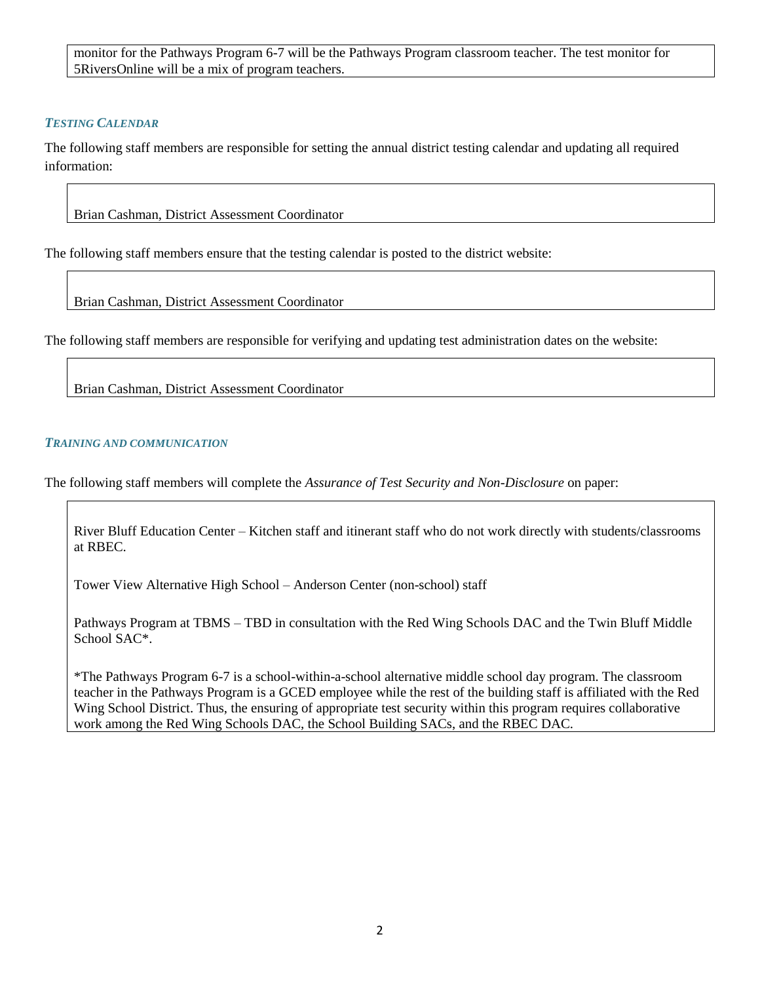monitor for the Pathways Program 6-7 will be the Pathways Program classroom teacher. The test monitor for 5RiversOnline will be a mix of program teachers.

## *TESTING CALENDAR*

The following staff members are responsible for setting the annual district testing calendar and updating all required information:

Brian Cashman, District Assessment Coordinator

The following staff members ensure that the testing calendar is posted to the district website:

Brian Cashman, District Assessment Coordinator

The following staff members are responsible for verifying and updating test administration dates on the website:

Brian Cashman, District Assessment Coordinator

### *TRAINING AND COMMUNICATION*

The following staff members will complete the *Assurance of Test Security and Non-Disclosure* on paper:

River Bluff Education Center – Kitchen staff and itinerant staff who do not work directly with students/classrooms at RBEC.

Tower View Alternative High School – Anderson Center (non-school) staff

Pathways Program at TBMS – TBD in consultation with the Red Wing Schools DAC and the Twin Bluff Middle School SAC\*.

\*The Pathways Program 6-7 is a school-within-a-school alternative middle school day program. The classroom teacher in the Pathways Program is a GCED employee while the rest of the building staff is affiliated with the Red Wing School District. Thus, the ensuring of appropriate test security within this program requires collaborative work among the Red Wing Schools DAC, the School Building SACs, and the RBEC DAC.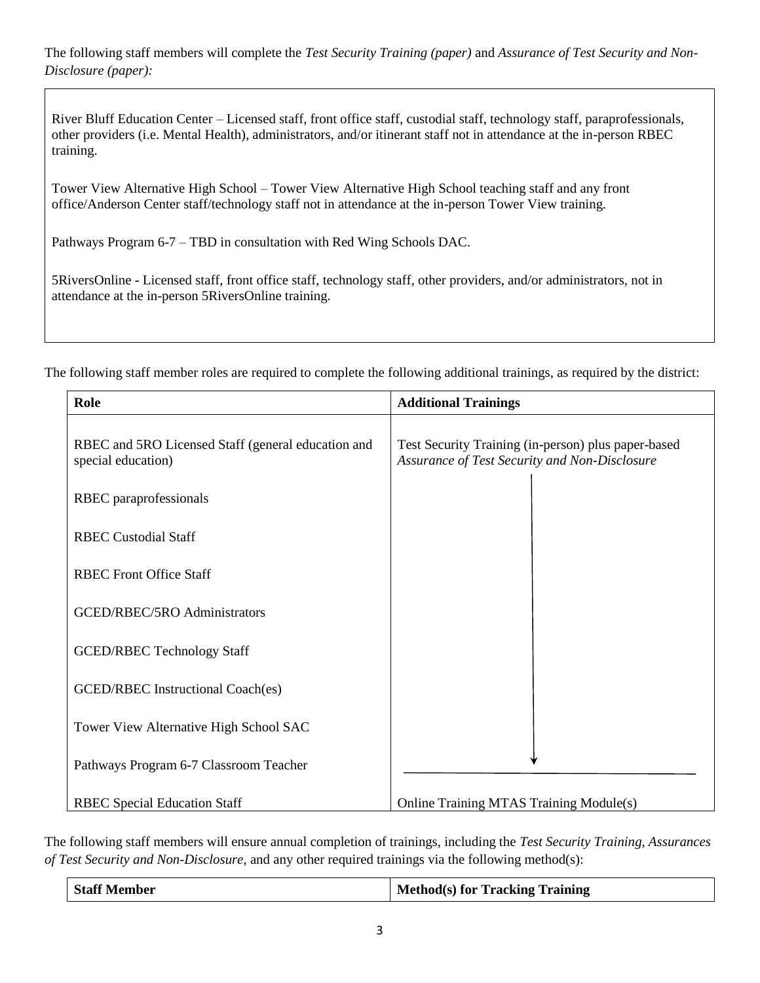The following staff members will complete the *Test Security Training (paper)* and *Assurance of Test Security and Non-Disclosure (paper):*

River Bluff Education Center – Licensed staff, front office staff, custodial staff, technology staff, paraprofessionals, other providers (i.e. Mental Health), administrators, and/or itinerant staff not in attendance at the in-person RBEC training.

Tower View Alternative High School – Tower View Alternative High School teaching staff and any front office/Anderson Center staff/technology staff not in attendance at the in-person Tower View training.

Pathways Program 6-7 – TBD in consultation with Red Wing Schools DAC.

5RiversOnline - Licensed staff, front office staff, technology staff, other providers, and/or administrators, not in attendance at the in-person 5RiversOnline training.

The following staff member roles are required to complete the following additional trainings, as required by the district:

| Role                                                                     | <b>Additional Trainings</b>                                                                          |
|--------------------------------------------------------------------------|------------------------------------------------------------------------------------------------------|
| RBEC and 5RO Licensed Staff (general education and<br>special education) | Test Security Training (in-person) plus paper-based<br>Assurance of Test Security and Non-Disclosure |
| RBEC paraprofessionals                                                   |                                                                                                      |
| <b>RBEC Custodial Staff</b>                                              |                                                                                                      |
| <b>RBEC Front Office Staff</b>                                           |                                                                                                      |
| GCED/RBEC/5RO Administrators                                             |                                                                                                      |
| <b>GCED/RBEC Technology Staff</b>                                        |                                                                                                      |
| <b>GCED/RBEC</b> Instructional Coach(es)                                 |                                                                                                      |
| Tower View Alternative High School SAC                                   |                                                                                                      |
| Pathways Program 6-7 Classroom Teacher                                   |                                                                                                      |
| <b>RBEC Special Education Staff</b>                                      | Online Training MTAS Training Module(s)                                                              |

The following staff members will ensure annual completion of trainings, including the *Test Security Training*, *Assurances of Test Security and Non-Disclosure*, and any other required trainings via the following method(s):

| <b>Staff Member</b> | Method(s) for Tracking Training |
|---------------------|---------------------------------|
|                     |                                 |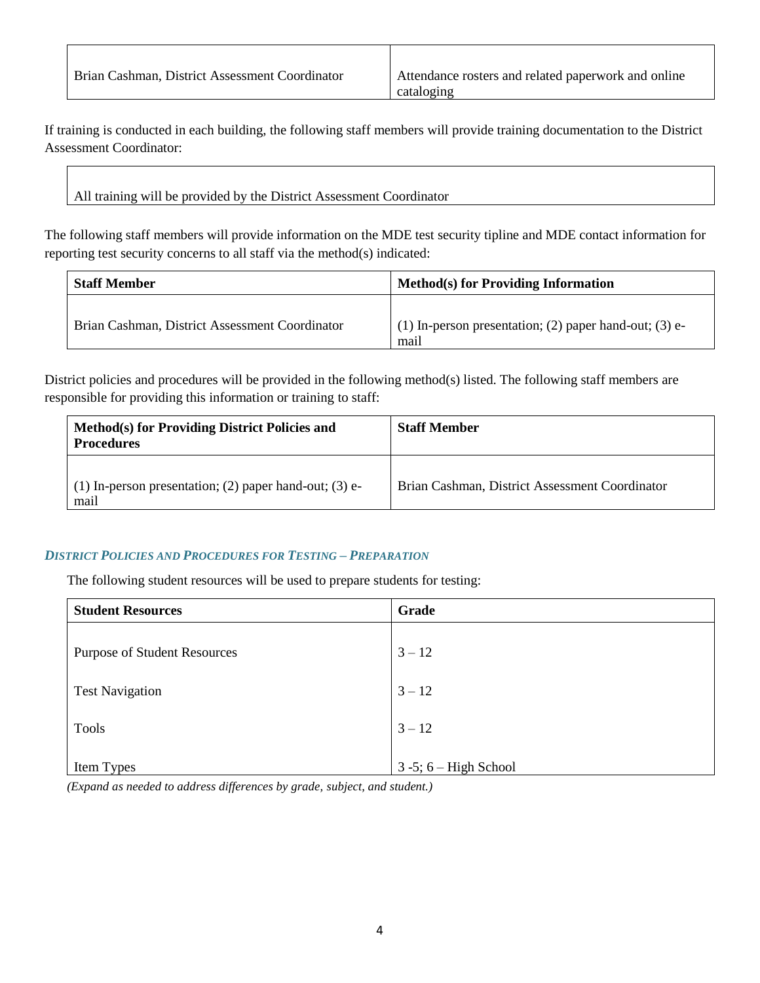| Brian Cashman, District Assessment Coordinator | Attendance rosters and related paperwork and online |
|------------------------------------------------|-----------------------------------------------------|
|                                                | cataloging                                          |

If training is conducted in each building, the following staff members will provide training documentation to the District Assessment Coordinator:

All training will be provided by the District Assessment Coordinator

The following staff members will provide information on the MDE test security tipline and MDE contact information for reporting test security concerns to all staff via the method(s) indicated:

| <b>Staff Member</b>                            | <b>Method(s) for Providing Information</b>                       |
|------------------------------------------------|------------------------------------------------------------------|
| Brian Cashman, District Assessment Coordinator | $(1)$ In-person presentation; (2) paper hand-out; (3) e-<br>mail |

District policies and procedures will be provided in the following method(s) listed. The following staff members are responsible for providing this information or training to staff:

| Method(s) for Providing District Policies and<br><b>Procedures</b> | <b>Staff Member</b>                            |
|--------------------------------------------------------------------|------------------------------------------------|
| (1) In-person presentation; (2) paper hand-out; (3) $e$ -<br>mail  | Brian Cashman, District Assessment Coordinator |

### *DISTRICT POLICIES AND PROCEDURES FOR TESTING – PREPARATION*

The following student resources will be used to prepare students for testing:

| <b>Student Resources</b>            | Grade                       |
|-------------------------------------|-----------------------------|
| <b>Purpose of Student Resources</b> | $3 - 12$                    |
| <b>Test Navigation</b>              | $3 - 12$                    |
| <b>Tools</b>                        | $3 - 12$                    |
| Item Types                          | $3 - 5$ ; $6 - High School$ |

*(Expand as needed to address differences by grade, subject, and student.)*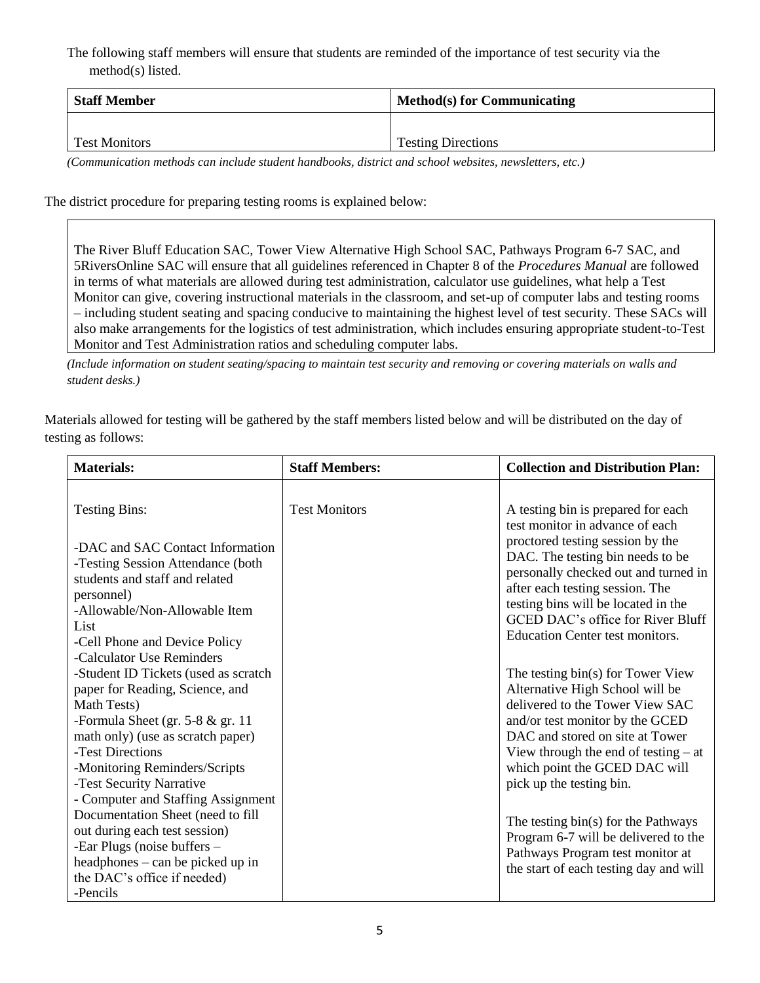The following staff members will ensure that students are reminded of the importance of test security via the method(s) listed.

| <b>Staff Member</b>  | <b>Method(s) for Communicating</b> |
|----------------------|------------------------------------|
|                      |                                    |
| <b>Test Monitors</b> | <b>Testing Directions</b>          |

*(Communication methods can include student handbooks, district and school websites, newsletters, etc.)*

The district procedure for preparing testing rooms is explained below:

The River Bluff Education SAC, Tower View Alternative High School SAC, Pathways Program 6-7 SAC, and 5RiversOnline SAC will ensure that all guidelines referenced in Chapter 8 of the *Procedures Manual* are followed in terms of what materials are allowed during test administration, calculator use guidelines, what help a Test Monitor can give, covering instructional materials in the classroom, and set-up of computer labs and testing rooms – including student seating and spacing conducive to maintaining the highest level of test security. These SACs will also make arrangements for the logistics of test administration, which includes ensuring appropriate student-to-Test Monitor and Test Administration ratios and scheduling computer labs.

*(Include information on student seating/spacing to maintain test security and removing or covering materials on walls and student desks.)*

Materials allowed for testing will be gathered by the staff members listed below and will be distributed on the day of testing as follows:

| <b>Materials:</b>                                                                                                                                                                                                                                                                                                                                                                                                                                                                                          | <b>Staff Members:</b> | <b>Collection and Distribution Plan:</b>                                                                                                                                                                                                                                                                                                                                                                                                                                                                                                                                                                                               |
|------------------------------------------------------------------------------------------------------------------------------------------------------------------------------------------------------------------------------------------------------------------------------------------------------------------------------------------------------------------------------------------------------------------------------------------------------------------------------------------------------------|-----------------------|----------------------------------------------------------------------------------------------------------------------------------------------------------------------------------------------------------------------------------------------------------------------------------------------------------------------------------------------------------------------------------------------------------------------------------------------------------------------------------------------------------------------------------------------------------------------------------------------------------------------------------------|
| <b>Testing Bins:</b><br>-DAC and SAC Contact Information<br>-Testing Session Attendance (both<br>students and staff and related<br>personnel)<br>-Allowable/Non-Allowable Item<br>List<br>-Cell Phone and Device Policy<br>-Calculator Use Reminders<br>-Student ID Tickets (used as scratch<br>paper for Reading, Science, and<br>Math Tests)<br>-Formula Sheet (gr. $5-8$ & gr. 11<br>math only) (use as scratch paper)<br>-Test Directions<br>-Monitoring Reminders/Scripts<br>-Test Security Narrative | <b>Test Monitors</b>  | A testing bin is prepared for each<br>test monitor in advance of each<br>proctored testing session by the<br>DAC. The testing bin needs to be<br>personally checked out and turned in<br>after each testing session. The<br>testing bins will be located in the<br>GCED DAC's office for River Bluff<br><b>Education Center test monitors.</b><br>The testing bin(s) for Tower View<br>Alternative High School will be<br>delivered to the Tower View SAC<br>and/or test monitor by the GCED<br>DAC and stored on site at Tower<br>View through the end of testing $-$ at<br>which point the GCED DAC will<br>pick up the testing bin. |
| - Computer and Staffing Assignment<br>Documentation Sheet (need to fill<br>out during each test session)<br>-Ear Plugs (noise buffers –<br>headphones – can be picked up in<br>the DAC's office if needed)<br>-Pencils                                                                                                                                                                                                                                                                                     |                       | The testing bin(s) for the Pathways<br>Program 6-7 will be delivered to the<br>Pathways Program test monitor at<br>the start of each testing day and will                                                                                                                                                                                                                                                                                                                                                                                                                                                                              |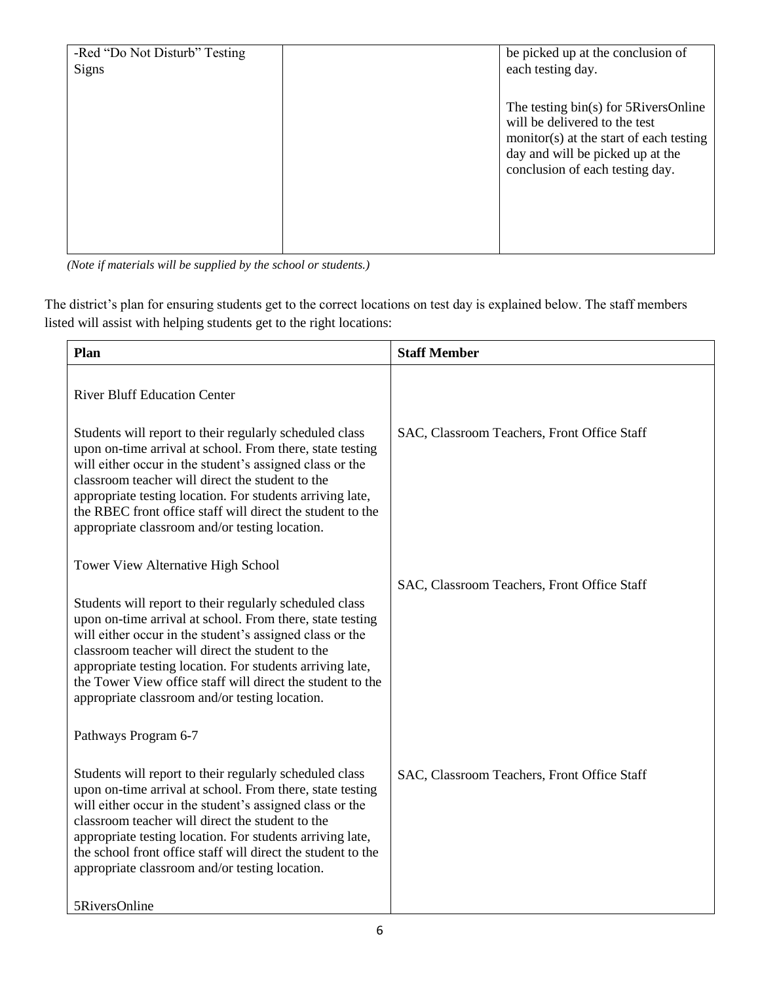| -Red "Do Not Disturb" Testing<br><b>Signs</b> | be picked up at the conclusion of<br>each testing day.                                                                                                                                  |
|-----------------------------------------------|-----------------------------------------------------------------------------------------------------------------------------------------------------------------------------------------|
|                                               | The testing bin(s) for 5RiversOnline<br>will be delivered to the test<br>monitor(s) at the start of each testing<br>day and will be picked up at the<br>conclusion of each testing day. |
|                                               |                                                                                                                                                                                         |

*(Note if materials will be supplied by the school or students.)*

The district's plan for ensuring students get to the correct locations on test day is explained below. The staff members listed will assist with helping students get to the right locations:

| Plan                                                                                                                                                                                                                                                                                                                                                                                                                | <b>Staff Member</b>                         |
|---------------------------------------------------------------------------------------------------------------------------------------------------------------------------------------------------------------------------------------------------------------------------------------------------------------------------------------------------------------------------------------------------------------------|---------------------------------------------|
| <b>River Bluff Education Center</b>                                                                                                                                                                                                                                                                                                                                                                                 |                                             |
| Students will report to their regularly scheduled class<br>upon on-time arrival at school. From there, state testing<br>will either occur in the student's assigned class or the<br>classroom teacher will direct the student to the<br>appropriate testing location. For students arriving late,<br>the RBEC front office staff will direct the student to the<br>appropriate classroom and/or testing location.   | SAC, Classroom Teachers, Front Office Staff |
| Tower View Alternative High School                                                                                                                                                                                                                                                                                                                                                                                  |                                             |
| Students will report to their regularly scheduled class<br>upon on-time arrival at school. From there, state testing<br>will either occur in the student's assigned class or the<br>classroom teacher will direct the student to the<br>appropriate testing location. For students arriving late,<br>the Tower View office staff will direct the student to the<br>appropriate classroom and/or testing location.   | SAC, Classroom Teachers, Front Office Staff |
| Pathways Program 6-7                                                                                                                                                                                                                                                                                                                                                                                                |                                             |
| Students will report to their regularly scheduled class<br>upon on-time arrival at school. From there, state testing<br>will either occur in the student's assigned class or the<br>classroom teacher will direct the student to the<br>appropriate testing location. For students arriving late,<br>the school front office staff will direct the student to the<br>appropriate classroom and/or testing location. | SAC, Classroom Teachers, Front Office Staff |
| 5RiversOnline                                                                                                                                                                                                                                                                                                                                                                                                       |                                             |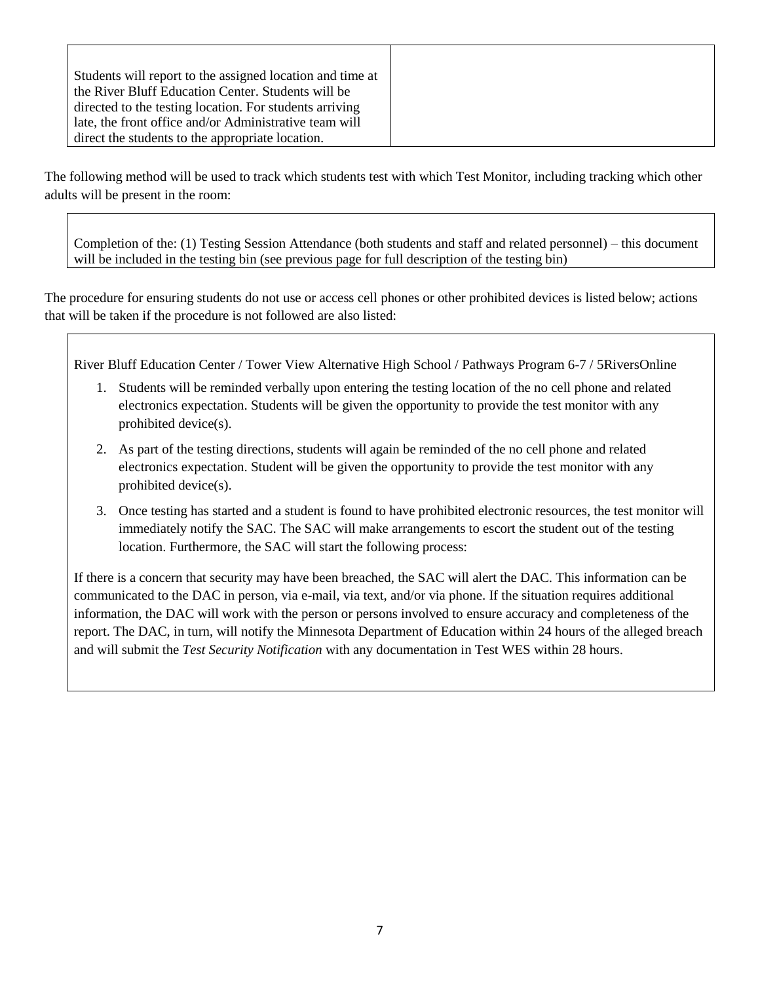| Students will report to the assigned location and time at |
|-----------------------------------------------------------|
| the River Bluff Education Center. Students will be        |
| directed to the testing location. For students arriving   |
| late, the front office and/or Administrative team will    |
| direct the students to the appropriate location.          |

The following method will be used to track which students test with which Test Monitor, including tracking which other adults will be present in the room:

Completion of the: (1) Testing Session Attendance (both students and staff and related personnel) – this document will be included in the testing bin (see previous page for full description of the testing bin)

The procedure for ensuring students do not use or access cell phones or other prohibited devices is listed below; actions that will be taken if the procedure is not followed are also listed:

River Bluff Education Center / Tower View Alternative High School / Pathways Program 6-7 / 5RiversOnline

- 1. Students will be reminded verbally upon entering the testing location of the no cell phone and related electronics expectation. Students will be given the opportunity to provide the test monitor with any prohibited device(s).
- 2. As part of the testing directions, students will again be reminded of the no cell phone and related electronics expectation. Student will be given the opportunity to provide the test monitor with any prohibited device(s).
- 3. Once testing has started and a student is found to have prohibited electronic resources, the test monitor will immediately notify the SAC. The SAC will make arrangements to escort the student out of the testing location. Furthermore, the SAC will start the following process:

If there is a concern that security may have been breached, the SAC will alert the DAC. This information can be communicated to the DAC in person, via e-mail, via text, and/or via phone. If the situation requires additional information, the DAC will work with the person or persons involved to ensure accuracy and completeness of the report. The DAC, in turn, will notify the Minnesota Department of Education within 24 hours of the alleged breach and will submit the *Test Security Notification* with any documentation in Test WES within 28 hours.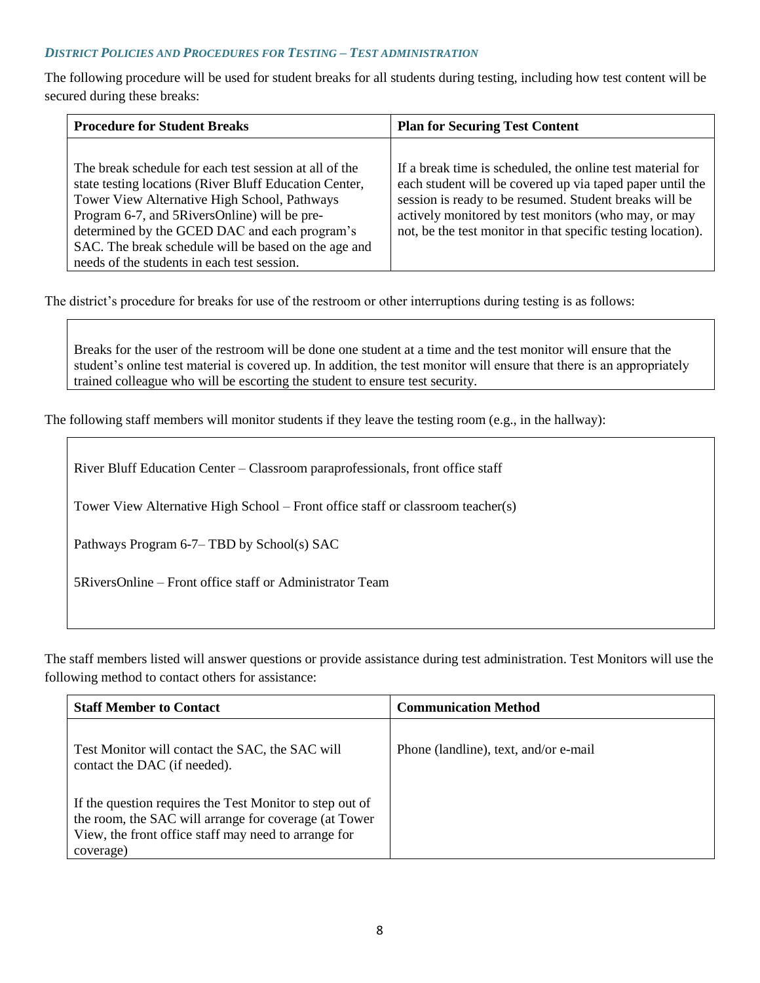### *DISTRICT POLICIES AND PROCEDURES FOR TESTING – TEST ADMINISTRATION*

The following procedure will be used for student breaks for all students during testing, including how test content will be secured during these breaks:

| <b>Procedure for Student Breaks</b>                                                                                                                                                                                                                                                                                                                                      | <b>Plan for Securing Test Content</b>                                                                                                                                                                                                                                                                     |
|--------------------------------------------------------------------------------------------------------------------------------------------------------------------------------------------------------------------------------------------------------------------------------------------------------------------------------------------------------------------------|-----------------------------------------------------------------------------------------------------------------------------------------------------------------------------------------------------------------------------------------------------------------------------------------------------------|
| The break schedule for each test session at all of the<br>state testing locations (River Bluff Education Center,<br>Tower View Alternative High School, Pathways<br>Program 6-7, and 5RiversOnline) will be pre-<br>determined by the GCED DAC and each program's<br>SAC. The break schedule will be based on the age and<br>needs of the students in each test session. | If a break time is scheduled, the online test material for<br>each student will be covered up via taped paper until the<br>session is ready to be resumed. Student breaks will be<br>actively monitored by test monitors (who may, or may<br>not, be the test monitor in that specific testing location). |

The district's procedure for breaks for use of the restroom or other interruptions during testing is as follows:

Breaks for the user of the restroom will be done one student at a time and the test monitor will ensure that the student's online test material is covered up. In addition, the test monitor will ensure that there is an appropriately trained colleague who will be escorting the student to ensure test security.

The following staff members will monitor students if they leave the testing room (e.g., in the hallway):

| River Bluff Education Center – Classroom paraprofessionals, front office staff |  |  |  |
|--------------------------------------------------------------------------------|--|--|--|
|                                                                                |  |  |  |

Tower View Alternative High School – Front office staff or classroom teacher(s)

Pathways Program 6-7– TBD by School(s) SAC

5RiversOnline – Front office staff or Administrator Team

The staff members listed will answer questions or provide assistance during test administration. Test Monitors will use the following method to contact others for assistance:

| <b>Staff Member to Contact</b>                                                                                                                                                         | <b>Communication Method</b>           |
|----------------------------------------------------------------------------------------------------------------------------------------------------------------------------------------|---------------------------------------|
| Test Monitor will contact the SAC, the SAC will<br>contact the DAC (if needed).                                                                                                        | Phone (landline), text, and/or e-mail |
| If the question requires the Test Monitor to step out of<br>the room, the SAC will arrange for coverage (at Tower<br>View, the front office staff may need to arrange for<br>coverage) |                                       |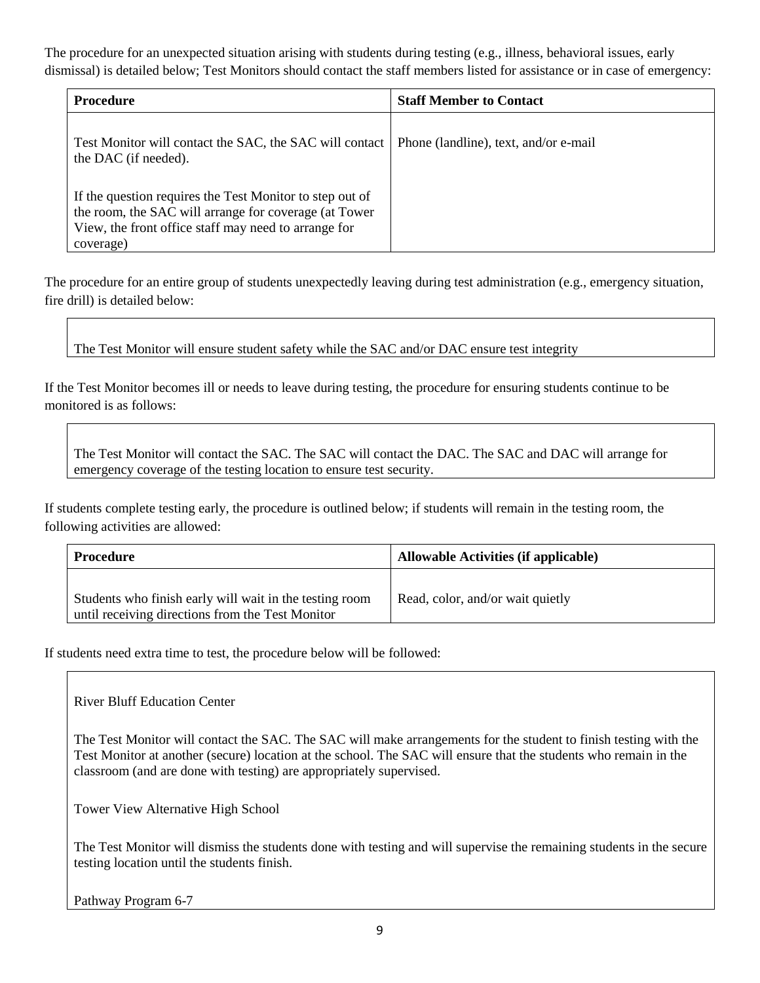The procedure for an unexpected situation arising with students during testing (e.g., illness, behavioral issues, early dismissal) is detailed below; Test Monitors should contact the staff members listed for assistance or in case of emergency:

| <b>Procedure</b>                                                                                                                                                                       | <b>Staff Member to Contact</b>        |
|----------------------------------------------------------------------------------------------------------------------------------------------------------------------------------------|---------------------------------------|
| Test Monitor will contact the SAC, the SAC will contact<br>the DAC (if needed).                                                                                                        | Phone (landline), text, and/or e-mail |
| If the question requires the Test Monitor to step out of<br>the room, the SAC will arrange for coverage (at Tower<br>View, the front office staff may need to arrange for<br>coverage) |                                       |

The procedure for an entire group of students unexpectedly leaving during test administration (e.g., emergency situation, fire drill) is detailed below:

The Test Monitor will ensure student safety while the SAC and/or DAC ensure test integrity

If the Test Monitor becomes ill or needs to leave during testing, the procedure for ensuring students continue to be monitored is as follows:

The Test Monitor will contact the SAC. The SAC will contact the DAC. The SAC and DAC will arrange for emergency coverage of the testing location to ensure test security.

If students complete testing early, the procedure is outlined below; if students will remain in the testing room, the following activities are allowed:

| Procedure                                                                                                   | Allowable Activities (if applicable) |
|-------------------------------------------------------------------------------------------------------------|--------------------------------------|
| Students who finish early will wait in the testing room<br>until receiving directions from the Test Monitor | Read, color, and/or wait quietly     |

If students need extra time to test, the procedure below will be followed:

River Bluff Education Center

The Test Monitor will contact the SAC. The SAC will make arrangements for the student to finish testing with the Test Monitor at another (secure) location at the school. The SAC will ensure that the students who remain in the classroom (and are done with testing) are appropriately supervised.

Tower View Alternative High School

The Test Monitor will dismiss the students done with testing and will supervise the remaining students in the secure testing location until the students finish.

Pathway Program 6-7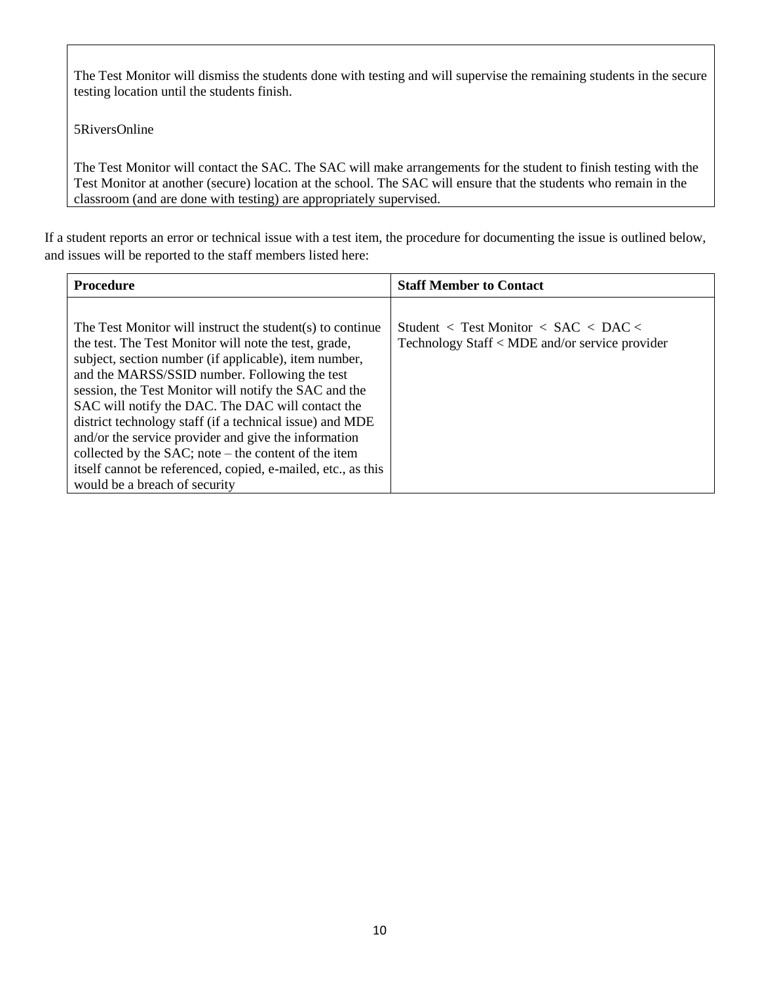The Test Monitor will dismiss the students done with testing and will supervise the remaining students in the secure testing location until the students finish.

5RiversOnline

The Test Monitor will contact the SAC. The SAC will make arrangements for the student to finish testing with the Test Monitor at another (secure) location at the school. The SAC will ensure that the students who remain in the classroom (and are done with testing) are appropriately supervised.

If a student reports an error or technical issue with a test item, the procedure for documenting the issue is outlined below, and issues will be reported to the staff members listed here:

| <b>Procedure</b>                                                                                                                                                                                                                                                                                                                                                                                                                                                                                                          | <b>Staff Member to Contact</b>                                                                                         |
|---------------------------------------------------------------------------------------------------------------------------------------------------------------------------------------------------------------------------------------------------------------------------------------------------------------------------------------------------------------------------------------------------------------------------------------------------------------------------------------------------------------------------|------------------------------------------------------------------------------------------------------------------------|
| The Test Monitor will instruct the student(s) to continue<br>the test. The Test Monitor will note the test, grade,<br>subject, section number (if applicable), item number,<br>and the MARSS/SSID number. Following the test<br>session, the Test Monitor will notify the SAC and the<br>SAC will notify the DAC. The DAC will contact the<br>district technology staff (if a technical issue) and MDE<br>and/or the service provider and give the information<br>collected by the $SAC$ ; note – the content of the item | Student $\langle$ Test Monitor $\langle$ SAC $\langle$ DAC $\langle$<br>Technology Staff < MDE and/or service provider |
| itself cannot be referenced, copied, e-mailed, etc., as this<br>would be a breach of security                                                                                                                                                                                                                                                                                                                                                                                                                             |                                                                                                                        |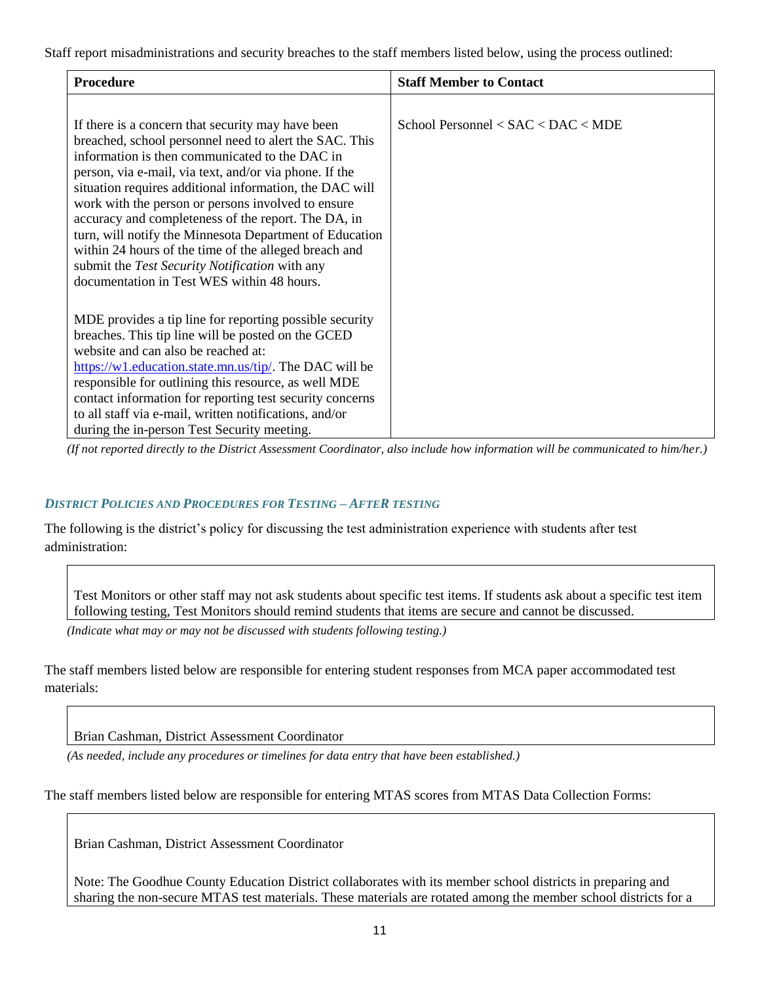Staff report misadministrations and security breaches to the staff members listed below, using the process outlined:

| <b>Procedure</b>                                                                                              | <b>Staff Member to Contact</b>       |
|---------------------------------------------------------------------------------------------------------------|--------------------------------------|
|                                                                                                               |                                      |
| If there is a concern that security may have been                                                             | School Personnel < $SAC < DAC < MDE$ |
| breached, school personnel need to alert the SAC. This                                                        |                                      |
| information is then communicated to the DAC in                                                                |                                      |
| person, via e-mail, via text, and/or via phone. If the                                                        |                                      |
| situation requires additional information, the DAC will<br>work with the person or persons involved to ensure |                                      |
| accuracy and completeness of the report. The DA, in                                                           |                                      |
| turn, will notify the Minnesota Department of Education                                                       |                                      |
| within 24 hours of the time of the alleged breach and                                                         |                                      |
| submit the Test Security Notification with any                                                                |                                      |
| documentation in Test WES within 48 hours.                                                                    |                                      |
| MDE provides a tip line for reporting possible security                                                       |                                      |
| breaches. This tip line will be posted on the GCED                                                            |                                      |
| website and can also be reached at:                                                                           |                                      |
| https://w1.education.state.mn.us/tip/. The DAC will be                                                        |                                      |
| responsible for outlining this resource, as well MDE                                                          |                                      |
| contact information for reporting test security concerns                                                      |                                      |
| to all staff via e-mail, written notifications, and/or                                                        |                                      |
| during the in-person Test Security meeting.                                                                   |                                      |

*(If not reported directly to the District Assessment Coordinator, also include how information will be communicated to him/her.)*

### *DISTRICT POLICIES AND PROCEDURES FOR TESTING – AFTER TESTING*

The following is the district's policy for discussing the test administration experience with students after test administration:

Test Monitors or other staff may not ask students about specific test items. If students ask about a specific test item following testing, Test Monitors should remind students that items are secure and cannot be discussed.

*(Indicate what may or may not be discussed with students following testing.)*

The staff members listed below are responsible for entering student responses from MCA paper accommodated test materials:

Brian Cashman, District Assessment Coordinator

*(As needed, include any procedures or timelines for data entry that have been established.)*

The staff members listed below are responsible for entering MTAS scores from MTAS Data Collection Forms:

Brian Cashman, District Assessment Coordinator

Note: The Goodhue County Education District collaborates with its member school districts in preparing and sharing the non-secure MTAS test materials. These materials are rotated among the member school districts for a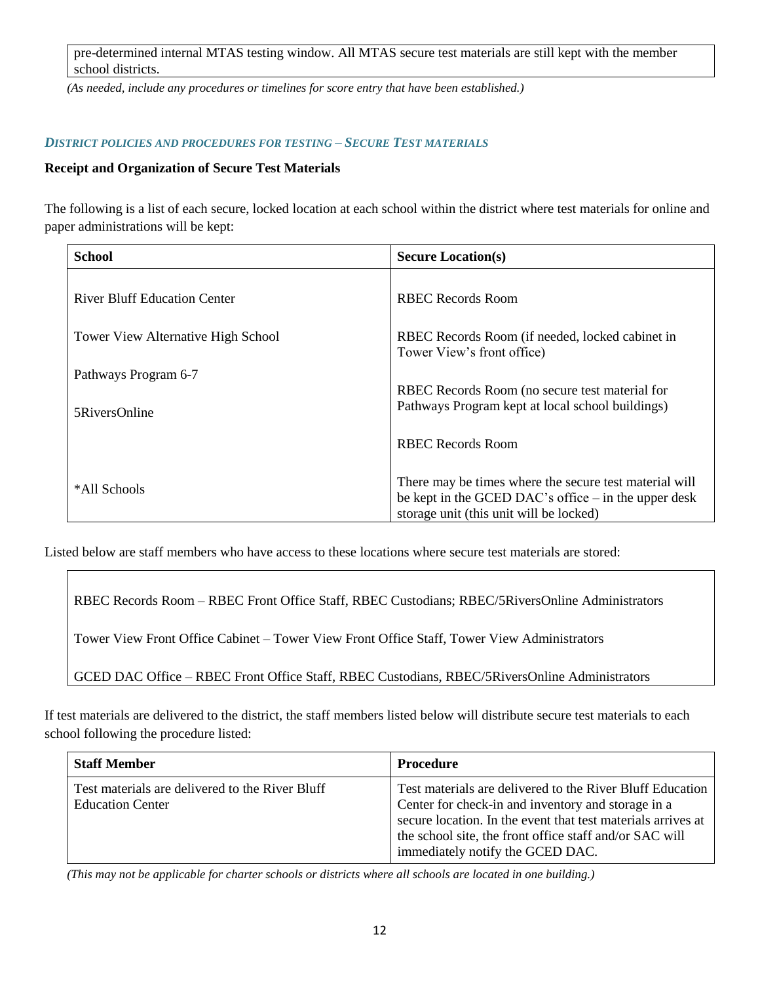pre-determined internal MTAS testing window. All MTAS secure test materials are still kept with the member school districts.

*(As needed, include any procedures or timelines for score entry that have been established.)*

### *DISTRICT POLICIES AND PROCEDURES FOR TESTING – SECURE TEST MATERIALS*

# **Receipt and Organization of Secure Test Materials**

The following is a list of each secure, locked location at each school within the district where test materials for online and paper administrations will be kept:

| School                                    | <b>Secure Location(s)</b>                                                                                                                                   |
|-------------------------------------------|-------------------------------------------------------------------------------------------------------------------------------------------------------------|
| <b>River Bluff Education Center</b>       | RBEC Records Room                                                                                                                                           |
| <b>Tower View Alternative High School</b> | RBEC Records Room (if needed, locked cabinet in<br>Tower View's front office)                                                                               |
| Pathways Program 6-7                      | RBEC Records Room (no secure test material for                                                                                                              |
| 5RiversOnline                             | Pathways Program kept at local school buildings)                                                                                                            |
|                                           | RBEC Records Room                                                                                                                                           |
| *All Schools                              | There may be times where the secure test material will<br>be kept in the GCED DAC's office $-$ in the upper desk<br>storage unit (this unit will be locked) |

Listed below are staff members who have access to these locations where secure test materials are stored:

RBEC Records Room – RBEC Front Office Staff, RBEC Custodians; RBEC/5RiversOnline Administrators

Tower View Front Office Cabinet – Tower View Front Office Staff, Tower View Administrators

GCED DAC Office – RBEC Front Office Staff, RBEC Custodians, RBEC/5RiversOnline Administrators

If test materials are delivered to the district, the staff members listed below will distribute secure test materials to each school following the procedure listed:

| <b>Staff Member</b>                                                        | <b>Procedure</b>                                                                                                                                                                                                                                                               |
|----------------------------------------------------------------------------|--------------------------------------------------------------------------------------------------------------------------------------------------------------------------------------------------------------------------------------------------------------------------------|
| Test materials are delivered to the River Bluff<br><b>Education Center</b> | Test materials are delivered to the River Bluff Education<br>Center for check-in and inventory and storage in a<br>secure location. In the event that test materials arrives at<br>the school site, the front office staff and/or SAC will<br>immediately notify the GCED DAC. |

*(This may not be applicable for charter schools or districts where all schools are located in one building.)*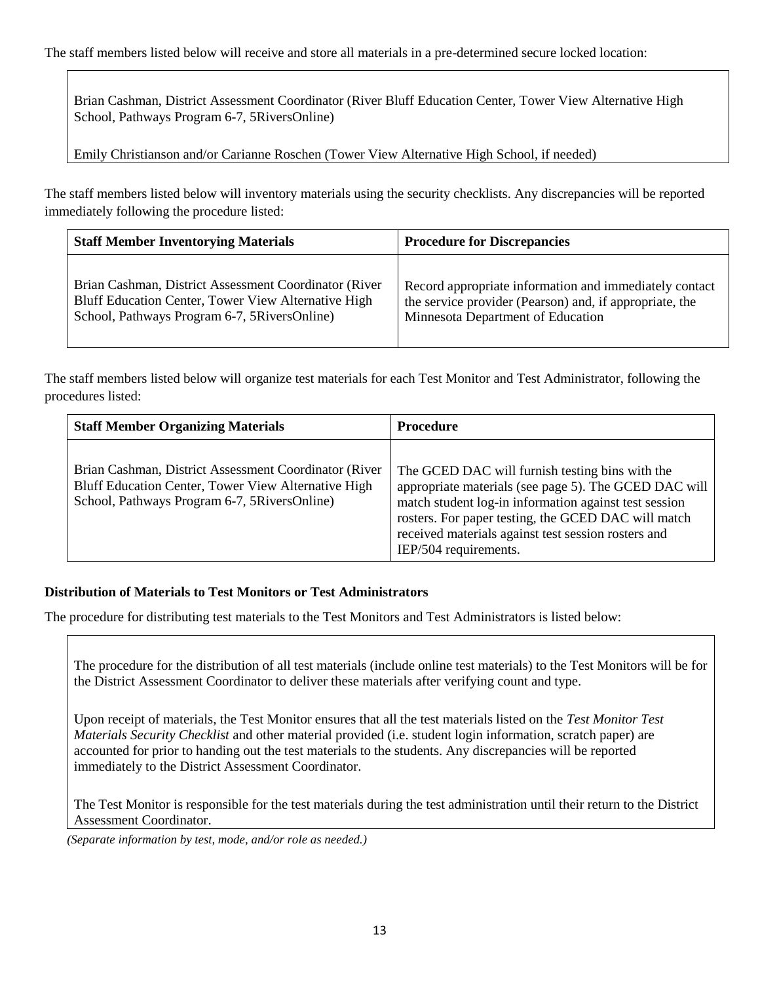Brian Cashman, District Assessment Coordinator (River Bluff Education Center, Tower View Alternative High School, Pathways Program 6-7, 5RiversOnline)

Emily Christianson and/or Carianne Roschen (Tower View Alternative High School, if needed)

The staff members listed below will inventory materials using the security checklists. Any discrepancies will be reported immediately following the procedure listed:

| <b>Staff Member Inventorying Materials</b>            | <b>Procedure for Discrepancies</b>                      |
|-------------------------------------------------------|---------------------------------------------------------|
| Brian Cashman, District Assessment Coordinator (River | Record appropriate information and immediately contact  |
| Bluff Education Center, Tower View Alternative High   | the service provider (Pearson) and, if appropriate, the |
| School, Pathways Program 6-7, 5 Rivers Online)        | Minnesota Department of Education                       |

The staff members listed below will organize test materials for each Test Monitor and Test Administrator, following the procedures listed:

| <b>Staff Member Organizing Materials</b>                                                                                                                      | <b>Procedure</b>                                                                                                                                                                                                                                                                                         |
|---------------------------------------------------------------------------------------------------------------------------------------------------------------|----------------------------------------------------------------------------------------------------------------------------------------------------------------------------------------------------------------------------------------------------------------------------------------------------------|
| Brian Cashman, District Assessment Coordinator (River)<br>Bluff Education Center, Tower View Alternative High<br>School, Pathways Program 6-7, 5RiversOnline) | The GCED DAC will furnish testing bins with the<br>appropriate materials (see page 5). The GCED DAC will<br>match student log-in information against test session<br>rosters. For paper testing, the GCED DAC will match<br>received materials against test session rosters and<br>IEP/504 requirements. |

### **Distribution of Materials to Test Monitors or Test Administrators**

The procedure for distributing test materials to the Test Monitors and Test Administrators is listed below:

The procedure for the distribution of all test materials (include online test materials) to the Test Monitors will be for the District Assessment Coordinator to deliver these materials after verifying count and type.

Upon receipt of materials, the Test Monitor ensures that all the test materials listed on the *Test Monitor Test Materials Security Checklist* and other material provided (i.e. student login information, scratch paper) are accounted for prior to handing out the test materials to the students. Any discrepancies will be reported immediately to the District Assessment Coordinator.

The Test Monitor is responsible for the test materials during the test administration until their return to the District Assessment Coordinator.

*(Separate information by test, mode, and/or role as needed.)*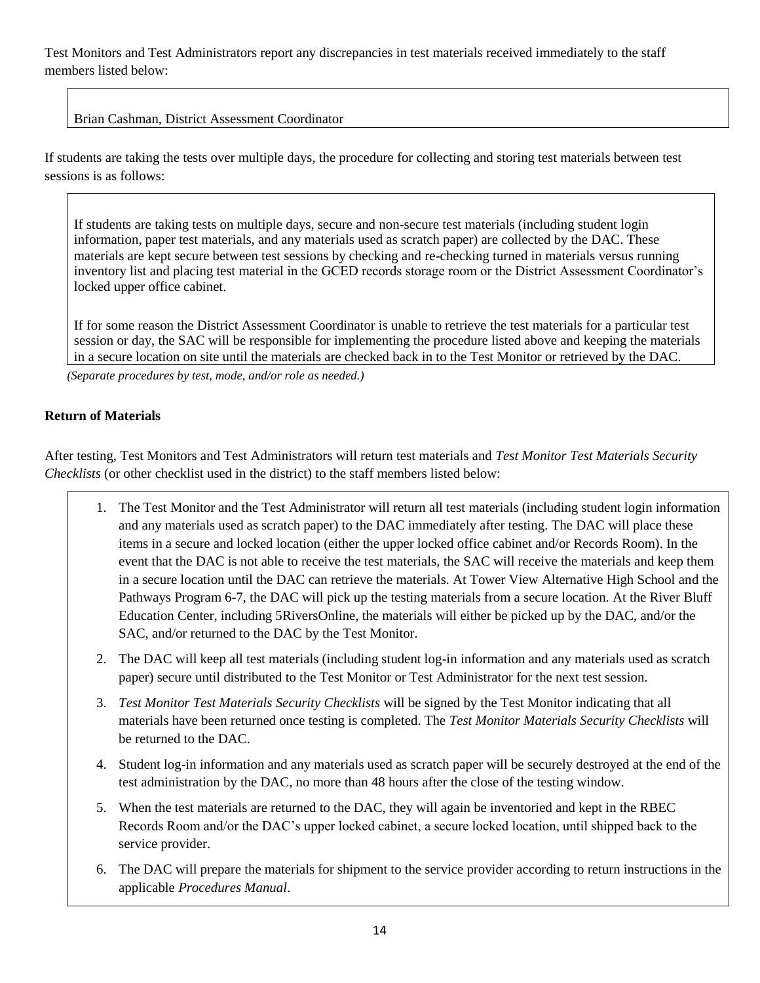Test Monitors and Test Administrators report any discrepancies in test materials received immediately to the staff members listed below:

# Brian Cashman, District Assessment Coordinator

If students are taking the tests over multiple days, the procedure for collecting and storing test materials between test sessions is as follows:

If students are taking tests on multiple days, secure and non-secure test materials (including student login information, paper test materials, and any materials used as scratch paper) are collected by the DAC. These materials are kept secure between test sessions by checking and re-checking turned in materials versus running inventory list and placing test material in the GCED records storage room or the District Assessment Coordinator's locked upper office cabinet.

If for some reason the District Assessment Coordinator is unable to retrieve the test materials for a particular test session or day, the SAC will be responsible for implementing the procedure listed above and keeping the materials in a secure location on site until the materials are checked back in to the Test Monitor or retrieved by the DAC.

*(Separate procedures by test, mode, and/or role as needed.)*

# **Return of Materials**

After testing, Test Monitors and Test Administrators will return test materials and *Test Monitor Test Materials Security Checklists* (or other checklist used in the district) to the staff members listed below:

- 1. The Test Monitor and the Test Administrator will return all test materials (including student login information and any materials used as scratch paper) to the DAC immediately after testing. The DAC will place these items in a secure and locked location (either the upper locked office cabinet and/or Records Room). In the event that the DAC is not able to receive the test materials, the SAC will receive the materials and keep them in a secure location until the DAC can retrieve the materials. At Tower View Alternative High School and the Pathways Program 6-7, the DAC will pick up the testing materials from a secure location. At the River Bluff Education Center, including 5RiversOnline, the materials will either be picked up by the DAC, and/or the SAC, and/or returned to the DAC by the Test Monitor.
- 2. The DAC will keep all test materials (including student log-in information and any materials used as scratch paper) secure until distributed to the Test Monitor or Test Administrator for the next test session.
- 3. *Test Monitor Test Materials Security Checklists* will be signed by the Test Monitor indicating that all materials have been returned once testing is completed. The *Test Monitor Materials Security Checklists* will be returned to the DAC.
- 4. Student log-in information and any materials used as scratch paper will be securely destroyed at the end of the test administration by the DAC, no more than 48 hours after the close of the testing window.
- 5. When the test materials are returned to the DAC, they will again be inventoried and kept in the RBEC Records Room and/or the DAC's upper locked cabinet, a secure locked location, until shipped back to the service provider.
- 6. The DAC will prepare the materials for shipment to the service provider according to return instructions in the applicable *Procedures Manual*.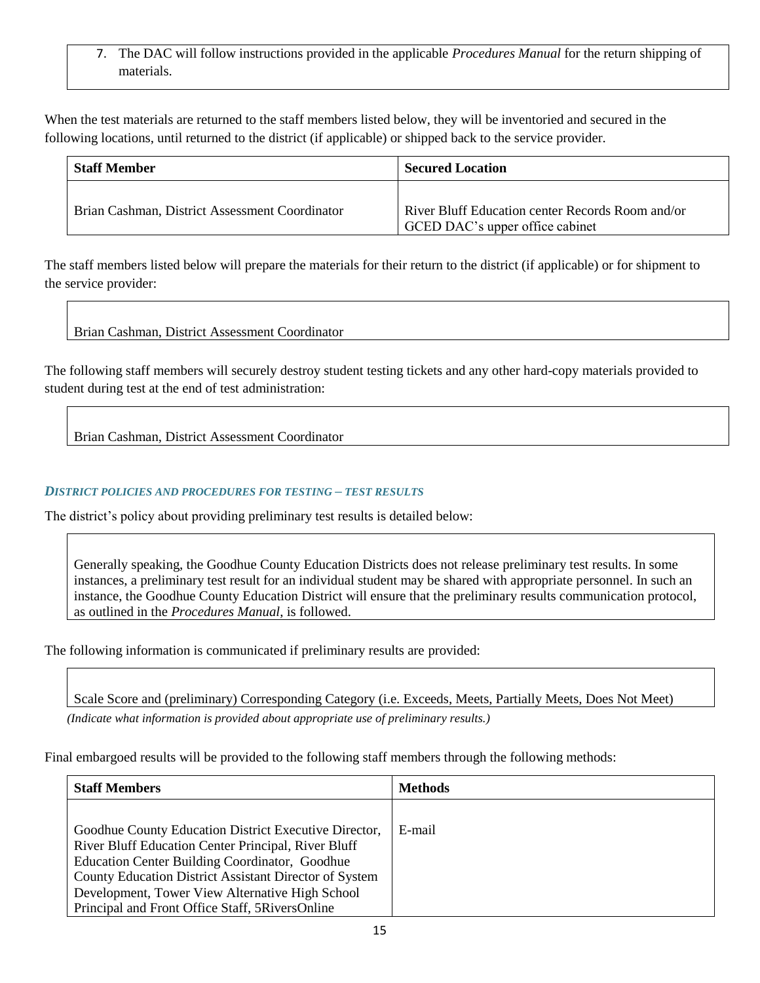# 7. The DAC will follow instructions provided in the applicable *Procedures Manual* for the return shipping of materials.

When the test materials are returned to the staff members listed below, they will be inventoried and secured in the following locations, until returned to the district (if applicable) or shipped back to the service provider.

| <b>Staff Member</b>                            | <b>Secured Location</b>                                                             |
|------------------------------------------------|-------------------------------------------------------------------------------------|
| Brian Cashman, District Assessment Coordinator | River Bluff Education center Records Room and/or<br>GCED DAC's upper office cabinet |

The staff members listed below will prepare the materials for their return to the district (if applicable) or for shipment to the service provider:

# Brian Cashman, District Assessment Coordinator

The following staff members will securely destroy student testing tickets and any other hard-copy materials provided to student during test at the end of test administration:

Brian Cashman, District Assessment Coordinator

### *DISTRICT POLICIES AND PROCEDURES FOR TESTING – TEST RESULTS*

The district's policy about providing preliminary test results is detailed below:

Generally speaking, the Goodhue County Education Districts does not release preliminary test results. In some instances, a preliminary test result for an individual student may be shared with appropriate personnel. In such an instance, the Goodhue County Education District will ensure that the preliminary results communication protocol, as outlined in the *Procedures Manual*, is followed.

The following information is communicated if preliminary results are provided:

Scale Score and (preliminary) Corresponding Category (i.e. Exceeds, Meets, Partially Meets, Does Not Meet)

*(Indicate what information is provided about appropriate use of preliminary results.)*

Final embargoed results will be provided to the following staff members through the following methods:

| <b>Staff Members</b>                                                                                                                                                                                                                                                                                                           | <b>Methods</b> |
|--------------------------------------------------------------------------------------------------------------------------------------------------------------------------------------------------------------------------------------------------------------------------------------------------------------------------------|----------------|
| Goodhue County Education District Executive Director,<br>River Bluff Education Center Principal, River Bluff<br>Education Center Building Coordinator, Goodhue<br>County Education District Assistant Director of System<br>Development, Tower View Alternative High School<br>Principal and Front Office Staff, 5RiversOnline | E-mail         |